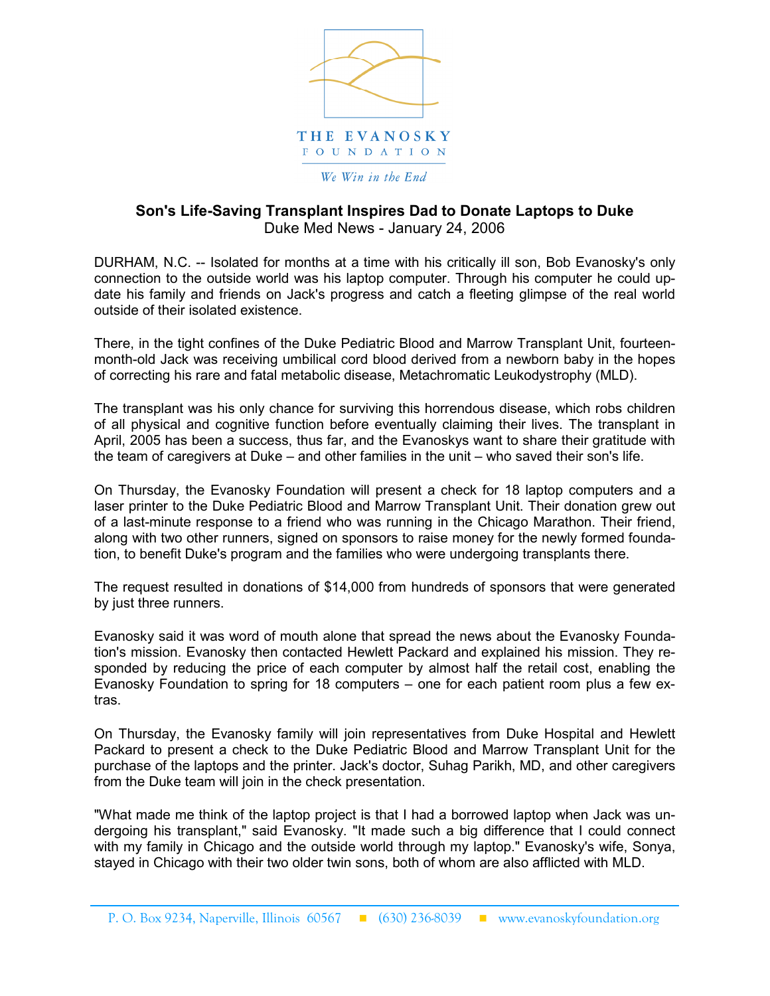

## Son's Life-Saving Transplant Inspires Dad to Donate Laptops to Duke Duke Med News - January 24, 2006

DURHAM, N.C. -- Isolated for months at a time with his critically ill son, Bob Evanosky's only connection to the outside world was his laptop computer. Through his computer he could update his family and friends on Jack's progress and catch a fleeting glimpse of the real world outside of their isolated existence.

There, in the tight confines of the Duke Pediatric Blood and Marrow Transplant Unit, fourteenmonth-old Jack was receiving umbilical cord blood derived from a newborn baby in the hopes of correcting his rare and fatal metabolic disease, Metachromatic Leukodystrophy (MLD).

The transplant was his only chance for surviving this horrendous disease, which robs children of all physical and cognitive function before eventually claiming their lives. The transplant in April, 2005 has been a success, thus far, and the Evanoskys want to share their gratitude with the team of caregivers at Duke – and other families in the unit – who saved their son's life.

On Thursday, the Evanosky Foundation will present a check for 18 laptop computers and a laser printer to the Duke Pediatric Blood and Marrow Transplant Unit. Their donation grew out of a last-minute response to a friend who was running in the Chicago Marathon. Their friend, along with two other runners, signed on sponsors to raise money for the newly formed foundation, to benefit Duke's program and the families who were undergoing transplants there.

The request resulted in donations of \$14,000 from hundreds of sponsors that were generated by just three runners.

Evanosky said it was word of mouth alone that spread the news about the Evanosky Foundation's mission. Evanosky then contacted Hewlett Packard and explained his mission. They responded by reducing the price of each computer by almost half the retail cost, enabling the Evanosky Foundation to spring for 18 computers – one for each patient room plus a few extras.

On Thursday, the Evanosky family will join representatives from Duke Hospital and Hewlett Packard to present a check to the Duke Pediatric Blood and Marrow Transplant Unit for the purchase of the laptops and the printer. Jack's doctor, Suhag Parikh, MD, and other caregivers from the Duke team will join in the check presentation.

"What made me think of the laptop project is that I had a borrowed laptop when Jack was undergoing his transplant," said Evanosky. "It made such a big difference that I could connect with my family in Chicago and the outside world through my laptop." Evanosky's wife, Sonya, stayed in Chicago with their two older twin sons, both of whom are also afflicted with MLD.